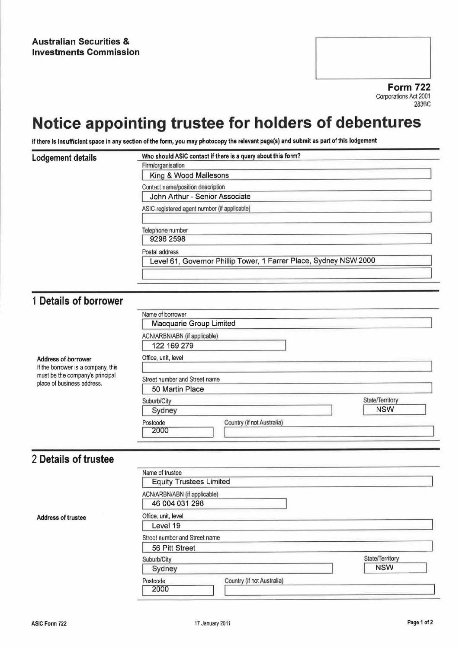Form 722 Corporations Act 2001 283BC

## Notice appointing trustee for holders of debentures

If there is insufficient space in any section of the form, you may photocopy the relevant page(s) and submit as part of this lodgement

| Lodgement details | Who should ASIC contact if there is a query about this form?      |  |
|-------------------|-------------------------------------------------------------------|--|
|                   | Firm/organisation                                                 |  |
|                   | King & Wood Mallesons                                             |  |
|                   | Contact name/position description                                 |  |
|                   | John Arthur - Senior Associate                                    |  |
|                   | ASIC registered agent number (if applicable)                      |  |
|                   | Telephone number                                                  |  |
|                   | 9296 2598                                                         |  |
|                   | Postal address                                                    |  |
|                   | Level 61, Governor Phillip Tower, 1 Farrer Place, Sydney NSW 2000 |  |
|                   |                                                                   |  |
|                   |                                                                   |  |

## <sup>1</sup> Details of borrower

| Address of borrower<br>If the borrower is a company, this<br>must be the company's principal<br>place of business address. | Name of borrower<br>Macquarie Group Limited    |                 |
|----------------------------------------------------------------------------------------------------------------------------|------------------------------------------------|-----------------|
|                                                                                                                            | ACN/ARBN/ABN (if applicable)<br>122 169 279    |                 |
|                                                                                                                            | Office, unit, level                            |                 |
|                                                                                                                            | Street number and Street name                  |                 |
|                                                                                                                            | 50 Martin Place                                |                 |
|                                                                                                                            | Suburb/City                                    | State/Territory |
|                                                                                                                            | Sydney                                         | <b>NSW</b>      |
|                                                                                                                            | Country (if not Australia)<br>Postcode<br>2000 |                 |

## 2 Details of trustee

Address of trustee

| Name of trustee                        |                 |
|----------------------------------------|-----------------|
| <b>Equity Trustees Limited</b>         |                 |
| ACN/ARBN/ABN (if applicable)           |                 |
| 46 004 031 298                         |                 |
| Office, unit, level                    |                 |
| Level 19                               |                 |
| Street number and Street name          |                 |
| 56 Pitt Street                         |                 |
| Suburb/City                            | State/Territory |
| Sydney                                 | <b>NSW</b>      |
| Country (if not Australia)<br>Postcode |                 |
| 2000                                   |                 |